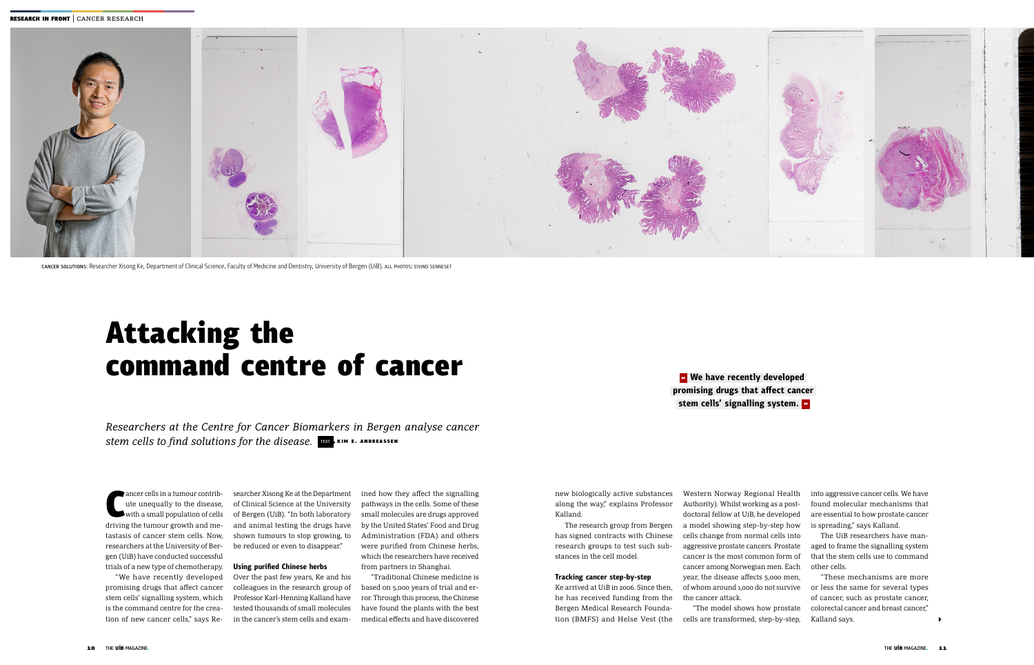# Attacking the command centre of cancer

*Researchers at the Centre for Cancer Biomarkers in Bergen analyse cancer stem cells to find solutions for the disease.* TEXT KIM E. ANDREASSEN

ancer cells in a tumour contribute unequally to the disease,<br>with a small population of cells<br>driving the tumour growth and meancer cells in a tumour contribute unequally to the disease, with a small population of cells tastasis of cancer stem cells. Now, researchers at the University of Bergen (UiB) have conducted successful trials of a new type of chemotherapy.

"We have recently developed promising drugs that affect cancer stem cells' signalling system, which is the command centre for the creation of new cancer cells," says Re-

searcher Xisong Ke at the Department of Clinical Science at the University of Bergen (UiB). "In both laboratory and animal testing the drugs have shown tumours to stop growing, to be reduced or even to disappear."

#### **Using purified Chinese herbs**

Over the past few years, Ke and his colleagues in the research group of Professor Karl-Henning Kalland have tested thousands of small molecules in the cancer's stem cells and exam-

ined how they affect the signalling pathways in the cells. Some of these small molecules are drugs approved by the United States' Food and Drug Administration (FDA) and others were purified from Chinese herbs, which the researchers have received from partners in Shanghai.

# **<sup>***a***</sup> We have recently developed promising drugs that affect cancer**

"Traditional Chinese medicine is based on 5,000 years of trial and error. Through this process, the Chinese have found the plants with the best medical effects and have discovered

new biologically active substances along the way," explains Professor Kalland.

The research group from Bergen has signed contracts with Chinese research groups to test such substances in the cell model.

#### **Tracking cancer step-by-step**

Ke arrived at UiB in 2006. Since then, he has received funding from the Bergen Medical Research Foundation (BMFS) and Helse Vest (the

**stem cells' signalling system.** 

Western Norway Regional Health Authority). Whilst working as a postdoctoral fellow at UiB, he developed a model showing step-by-step how cells change from normal cells into aggressive prostate cancers. Prostate cancer is the most common form of cancer among Norwegian men. Each year, the disease affects 5,000 men, of whom around 1,000 do not survive the cancer attack.

"The model shows how prostate cells are transformed, step-by-step,

into aggressive cancer cells. We have found molecular mechanisms that are essential to how prostate cancer is spreading," says Kalland.

The UiB researchers have managed to frame the signalling system that the stem cells use to command other cells.

"These mechanisms are more or less the same for several types of cancer, such as prostate cancer, colorectal cancer and breast cancer," Kalland says.



CANCER SOLUTIONS: Researcher Xisong Ke, Department of Clinical Science, Faculty of Medicine and Dentistry, University of Bergen (UiB). All PHOTOS: EIVIND SENNESET